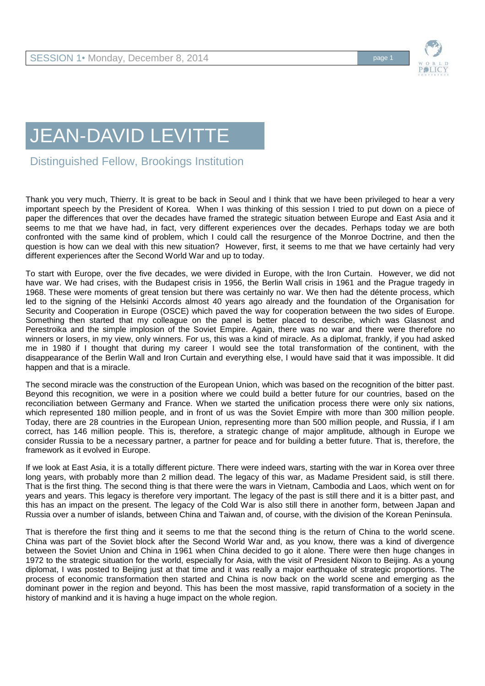

## JEAN-DAVID LEVITTE

Distinguished Fellow, Brookings Institution

Thank you very much, Thierry. It is great to be back in Seoul and I think that we have been privileged to hear a very important speech by the President of Korea. When I was thinking of this session I tried to put down on a piece of paper the differences that over the decades have framed the strategic situation between Europe and East Asia and it seems to me that we have had, in fact, very different experiences over the decades. Perhaps today we are both confronted with the same kind of problem, which I could call the resurgence of the Monroe Doctrine, and then the question is how can we deal with this new situation? However, first, it seems to me that we have certainly had very different experiences after the Second World War and up to today.

To start with Europe, over the five decades, we were divided in Europe, with the Iron Curtain. However, we did not have war. We had crises, with the Budapest crisis in 1956, the Berlin Wall crisis in 1961 and the Prague tragedy in 1968. These were moments of great tension but there was certainly no war. We then had the détente process, which led to the signing of the Helsinki Accords almost 40 years ago already and the foundation of the Organisation for Security and Cooperation in Europe (OSCE) which paved the way for cooperation between the two sides of Europe. Something then started that my colleague on the panel is better placed to describe, which was Glasnost and Perestroika and the simple implosion of the Soviet Empire. Again, there was no war and there were therefore no winners or losers, in my view, only winners. For us, this was a kind of miracle. As a diplomat, frankly, if you had asked me in 1980 if I thought that during my career I would see the total transformation of the continent, with the disappearance of the Berlin Wall and Iron Curtain and everything else, I would have said that it was impossible. It did happen and that is a miracle.

The second miracle was the construction of the European Union, which was based on the recognition of the bitter past. Beyond this recognition, we were in a position where we could build a better future for our countries, based on the reconciliation between Germany and France. When we started the unification process there were only six nations, which represented 180 million people, and in front of us was the Soviet Empire with more than 300 million people. Today, there are 28 countries in the European Union, representing more than 500 million people, and Russia, if I am correct, has 146 million people. This is, therefore, a strategic change of major amplitude, although in Europe we consider Russia to be a necessary partner, a partner for peace and for building a better future. That is, therefore, the framework as it evolved in Europe.

If we look at East Asia, it is a totally different picture. There were indeed wars, starting with the war in Korea over three long years, with probably more than 2 million dead. The legacy of this war, as Madame President said, is still there. That is the first thing. The second thing is that there were the wars in Vietnam, Cambodia and Laos, which went on for years and years. This legacy is therefore very important. The legacy of the past is still there and it is a bitter past, and this has an impact on the present. The legacy of the Cold War is also still there in another form, between Japan and Russia over a number of islands, between China and Taiwan and, of course, with the division of the Korean Peninsula.

That is therefore the first thing and it seems to me that the second thing is the return of China to the world scene. China was part of the Soviet block after the Second World War and, as you know, there was a kind of divergence between the Soviet Union and China in 1961 when China decided to go it alone. There were then huge changes in 1972 to the strategic situation for the world, especially for Asia, with the visit of President Nixon to Beijing. As a young diplomat, I was posted to Beijing just at that time and it was really a major earthquake of strategic proportions. The process of economic transformation then started and China is now back on the world scene and emerging as the dominant power in the region and beyond. This has been the most massive, rapid transformation of a society in the history of mankind and it is having a huge impact on the whole region.